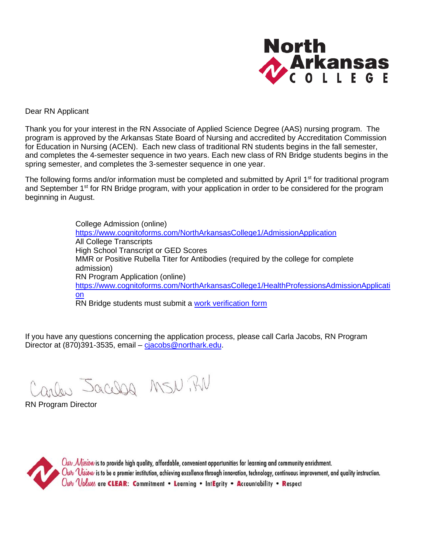

Dear RN Applicant

Thank you for your interest in the RN Associate of Applied Science Degree (AAS) nursing program. The program is approved by the Arkansas State Board of Nursing and accredited by Accreditation Commission for Education in Nursing (ACEN). Each new class of traditional RN students begins in the fall semester, and completes the 4-semester sequence in two years. Each new class of RN Bridge students begins in the spring semester, and completes the 3-semester sequence in one year.

The following forms and/or information must be completed and submitted by April 1<sup>st</sup> for traditional program and September 1<sup>st</sup> for RN Bridge program, with your application in order to be considered for the program beginning in August.

> College Admission (online) <https://www.cognitoforms.com/NorthArkansasCollege1/AdmissionApplication> All College Transcripts High School Transcript or GED Scores MMR or Positive Rubella Titer for Antibodies (required by the college for complete admission) RN Program Application (online) [https://www.cognitoforms.com/NorthArkansasCollege1/HealthProfessionsAdmissionApplicati](https://www.cognitoforms.com/NorthArkansasCollege1/HealthProfessionsAdmissionApplication) [on](https://www.cognitoforms.com/NorthArkansasCollege1/HealthProfessionsAdmissionApplication) RN Bridge students must submit a [work verification form](http://www.northark.edu/Assets/uploads/files/Academics/Areas-of-Study/Health-and-Medical/RN/RN%20Bridge%20Work%20Verification.pdf)

If you have any questions concerning the application process, please call Carla Jacobs, RN Program Director at (870)391-3535, email – [cjacobs@northark.edu.](mailto:cjacobs@northark.edu)

Carles Jacobs MSN. BN

RN Program Director

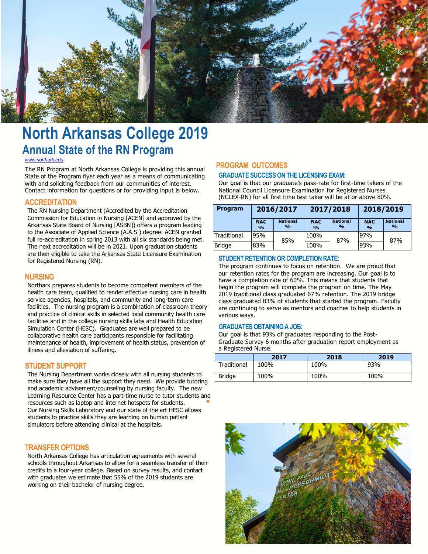

# **North Arkansas College 2019 Annual State of the RN Program**

#### *[www.northark.edu](http://www.northark.edu/)*

The RN Program at North Arkansas College is providing this annual State of the Program flyer each year as a means of communicating with and soliciting feedback from our communities of interest. Contact information for questions or for providing input is below.

#### **ACCREDITATION**

The RN Nursing Department (Accredited by the Accreditation Commission for Education in Nursing [ACEN] and approved by the Arkansas State Board of Nursing [ASBN]) offers a program leading to the Associate of Applied Science (A.A.S.) degree. ACEN granted full re-accreditation in spring 2013 with all six standards being met. The next accreditation will be in 2021. Upon graduation students are then eligible to take the Arkansas State Licensure Examination for Registered Nursing (RN).

#### **NURSING**

Northark prepares students to become competent members of the health care team, qualified to render effective nursing care in health service agencies, hospitals, and community and long-term care facilities. The nursing program is a combination of classroom theory and practice of clinical skills in selected local community health care facilities and in the college nursing skills labs and Health Education Simulation Center (HESC). Graduates are well prepared to be collaborative health care participants responsible for facilitating maintenance of health, improvement of health status, prevention of illness and alleviation of suffering.

#### **STUDENT SUPPORT**

The Nursing Department works closely with all nursing students to make sure they have all the support they need. We provide tutoring and academic advisement/counseling by nursing faculty. The new Learning Resource Center has a part-time nurse to tutor students and<br>resources such as laptop and internet hotspots for students. resources such as laptop and internet hotspots for students. Our Nursing Skills Laboratory and our state of the art HESC allows students to practice skills they are learning on human patient simulators before attending clinical at the hospitals.

#### **TRANSFER OPTIONS**

North Arkansas College has articulation agreements with several schools throughout Arkansas to allow for a seamless transfer of their credits to a four-year college. Based on survey results, and contact with graduates we estimate that 55% of the 2019 students are working on their bachelor of nursing degree.

#### **PROGRAM OUTCOMES**

#### **GRADUATE SUCCESS ON THE LICENSING EXAM:**

Our goal is that our graduate's pass-rate for first-time takers of the National Council Licensure Examination for Registered Nurses (NCLEX-RN) for all first time test taker will be at or above 80%.

| <b>Program</b>       | 2016/2017                   |                                  | 2017/2018                   |                                  | 2018/2019                   |                                  |
|----------------------|-----------------------------|----------------------------------|-----------------------------|----------------------------------|-----------------------------|----------------------------------|
|                      | <b>NAC</b><br>$\frac{0}{0}$ | <b>National</b><br>$\frac{0}{0}$ | <b>NAC</b><br>$\frac{0}{0}$ | <b>National</b><br>$\frac{0}{0}$ | <b>NAC</b><br>$\frac{0}{0}$ | <b>National</b><br>$\frac{0}{0}$ |
| Traditional          | 95%                         | 85%                              | 100%                        | 87%                              | 97%                         | 87%                              |
| <b>Bridge</b><br>83% |                             |                                  | 100%                        |                                  | 93%                         |                                  |

#### **STUDENT RETENTION OR COMPLETION RATE:**

The program continues to focus on retention. We are proud that our retention rates for the program are increasing. Our goal is to have a completion rate of 60%. This means that students that begin the program will complete the program on time. The May 2019 traditional class graduated 67% retention. The 2019 bridge class graduated 83% of students that started the program. Faculty are continuing to serve as mentors and coaches to help students in various ways.

#### **GRADUATES OBTAINING A JOB:**

Our goal is that 93% of graduates responding to the Post-Graduate Survey 6 months after graduation report employment as a Registered Nurse.

|               | 2017 | 2018 | 2019 |
|---------------|------|------|------|
| Traditional   | 100% | 100% | 93%  |
| <b>Bridge</b> | 100% | 100% | 100% |

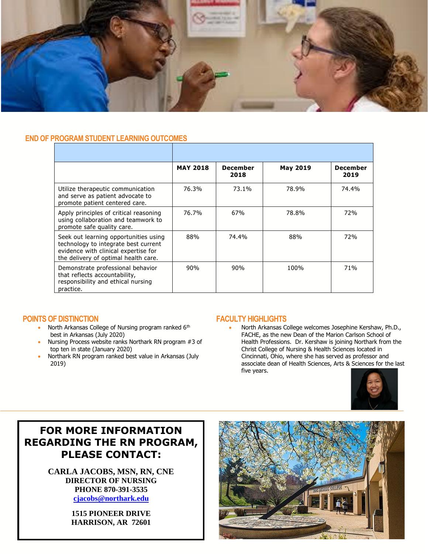

#### **END OF PROGRAM STUDENT LEARNING OUTCOMES**

|                                                                                                                                                               | <b>MAY 2018</b> | <b>December</b><br>2018 | <b>May 2019</b> | <b>December</b><br>2019 |
|---------------------------------------------------------------------------------------------------------------------------------------------------------------|-----------------|-------------------------|-----------------|-------------------------|
| Utilize therapeutic communication<br>and serve as patient advocate to<br>promote patient centered care.                                                       | 76.3%           | 73.1%                   | 78.9%           | 74.4%                   |
| Apply principles of critical reasoning<br>using collaboration and teamwork to<br>promote safe quality care.                                                   | 76.7%           | 67%                     | 78.8%           | 72%                     |
| Seek out learning opportunities using<br>technology to integrate best current<br>evidence with clinical expertise for<br>the delivery of optimal health care. | 88%             | 74.4%                   | 88%             | 72%                     |
| Demonstrate professional behavior<br>that reflects accountability,<br>responsibility and ethical nursing<br>practice.                                         | 90%             | 90%                     | 100%            | 71%                     |

#### **POINTS OF DISTINCTION**

- North Arkansas College of Nursing program ranked 6<sup>th</sup> best in Arkansas (July 2020)
- Nursing Process website ranks Northark RN program #3 of top ten in state (January 2020)
- Northark RN program ranked best value in Arkansas (July 2019)

#### **FACULTY HIGHLIGHTS**

• North Arkansas College welcomes Josephine Kershaw, Ph.D., FACHE, as the new Dean of the Marion Carlson School of Health Professions. Dr. Kershaw is joining Northark from the Christ College of Nursing & Health Sciences located in Cincinnati, Ohio, where she has served as professor and associate dean of Health Sciences, Arts & Sciences for the last five years.



## **FOR MORE INFORMATION REGARDING THE RN PROGRAM, PLEASE CONTACT:**

**CARLA JACOBS, MSN, RN, CNE DIRECTOR OF NURSING PHONE 870-391-3535 [cjacobs@northark.edu](mailto:cjacobs@northark.edu)**

> **1515 PIONEER DRIVE HARRISON, AR 72601**

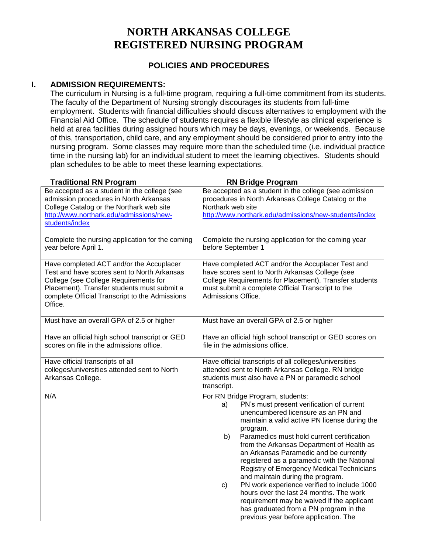## **NORTH ARKANSAS COLLEGE REGISTERED NURSING PROGRAM**

## **POLICIES AND PROCEDURES**

#### **I. ADMISSION REQUIREMENTS:**

The curriculum in Nursing is a full-time program, requiring a full-time commitment from its students. The faculty of the Department of Nursing strongly discourages its students from full-time employment. Students with financial difficulties should discuss alternatives to employment with the Financial Aid Office. The schedule of students requires a flexible lifestyle as clinical experience is held at area facilities during assigned hours which may be days, evenings, or weekends. Because of this, transportation, child care, and any employment should be considered prior to entry into the nursing program. Some classes may require more than the scheduled time (i.e. individual practice time in the nursing lab) for an individual student to meet the learning objectives. Students should plan schedules to be able to meet these learning expectations.

| <b>Traditional RN Program</b>                                                                                                                                                                                                                | <b>RN Bridge Program</b>                                                                                                                                                                                                                                                                                                                                                                                                                                                                                                                                                                                                                                                                            |
|----------------------------------------------------------------------------------------------------------------------------------------------------------------------------------------------------------------------------------------------|-----------------------------------------------------------------------------------------------------------------------------------------------------------------------------------------------------------------------------------------------------------------------------------------------------------------------------------------------------------------------------------------------------------------------------------------------------------------------------------------------------------------------------------------------------------------------------------------------------------------------------------------------------------------------------------------------------|
| Be accepted as a student in the college (see<br>admission procedures in North Arkansas<br>College Catalog or the Northark web site<br>http://www.northark.edu/admissions/new-<br>students/index                                              | Be accepted as a student in the college (see admission<br>procedures in North Arkansas College Catalog or the<br>Northark web site<br>http://www.northark.edu/admissions/new-students/index                                                                                                                                                                                                                                                                                                                                                                                                                                                                                                         |
| Complete the nursing application for the coming<br>year before April 1.                                                                                                                                                                      | Complete the nursing application for the coming year<br>before September 1                                                                                                                                                                                                                                                                                                                                                                                                                                                                                                                                                                                                                          |
| Have completed ACT and/or the Accuplacer<br>Test and have scores sent to North Arkansas<br>College (see College Requirements for<br>Placement). Transfer students must submit a<br>complete Official Transcript to the Admissions<br>Office. | Have completed ACT and/or the Accuplacer Test and<br>have scores sent to North Arkansas College (see<br>College Requirements for Placement). Transfer students<br>must submit a complete Official Transcript to the<br>Admissions Office.                                                                                                                                                                                                                                                                                                                                                                                                                                                           |
| Must have an overall GPA of 2.5 or higher                                                                                                                                                                                                    | Must have an overall GPA of 2.5 or higher                                                                                                                                                                                                                                                                                                                                                                                                                                                                                                                                                                                                                                                           |
| Have an official high school transcript or GED<br>scores on file in the admissions office.                                                                                                                                                   | Have an official high school transcript or GED scores on<br>file in the admissions office.                                                                                                                                                                                                                                                                                                                                                                                                                                                                                                                                                                                                          |
| Have official transcripts of all<br>colleges/universities attended sent to North<br>Arkansas College.                                                                                                                                        | Have official transcripts of all colleges/universities<br>attended sent to North Arkansas College. RN bridge<br>students must also have a PN or paramedic school<br>transcript.                                                                                                                                                                                                                                                                                                                                                                                                                                                                                                                     |
| N/A                                                                                                                                                                                                                                          | For RN Bridge Program, students:<br>PN's must present verification of current<br>a)<br>unencumbered licensure as an PN and<br>maintain a valid active PN license during the<br>program.<br>Paramedics must hold current certification<br>b)<br>from the Arkansas Department of Health as<br>an Arkansas Paramedic and be currently<br>registered as a paramedic with the National<br>Registry of Emergency Medical Technicians<br>and maintain during the program.<br>PN work experience verified to include 1000<br>c)<br>hours over the last 24 months. The work<br>requirement may be waived if the applicant<br>has graduated from a PN program in the<br>previous year before application. The |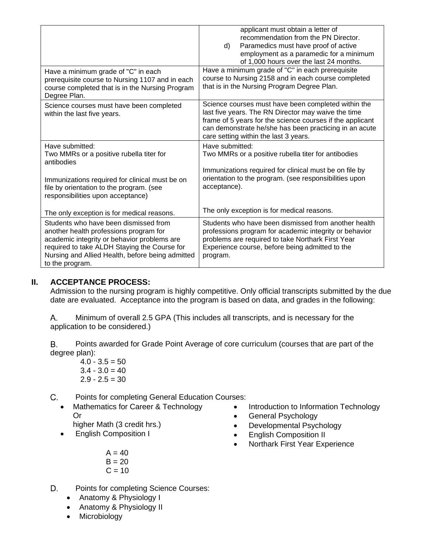|                                                                                                                                                                                                                                                       | applicant must obtain a letter of<br>recommendation from the PN Director.<br>Paramedics must have proof of active<br>d)<br>employment as a paramedic for a minimum<br>of 1,000 hours over the last 24 months.                                                              |
|-------------------------------------------------------------------------------------------------------------------------------------------------------------------------------------------------------------------------------------------------------|----------------------------------------------------------------------------------------------------------------------------------------------------------------------------------------------------------------------------------------------------------------------------|
| Have a minimum grade of "C" in each<br>prerequisite course to Nursing 1107 and in each<br>course completed that is in the Nursing Program<br>Degree Plan.                                                                                             | Have a minimum grade of "C" in each prerequisite<br>course to Nursing 2158 and in each course completed<br>that is in the Nursing Program Degree Plan.                                                                                                                     |
| Science courses must have been completed<br>within the last five years.                                                                                                                                                                               | Science courses must have been completed within the<br>last five years. The RN Director may waive the time<br>frame of 5 years for the science courses if the applicant<br>can demonstrate he/she has been practicing in an acute<br>care setting within the last 3 years. |
| Have submitted:<br>Two MMRs or a positive rubella titer for<br>antibodies                                                                                                                                                                             | Have submitted:<br>Two MMRs or a positive rubella titer for antibodies                                                                                                                                                                                                     |
| Immunizations required for clinical must be on<br>file by orientation to the program. (see<br>responsibilities upon acceptance)                                                                                                                       | Immunizations required for clinical must be on file by<br>orientation to the program. (see responsibilities upon<br>acceptance).                                                                                                                                           |
| The only exception is for medical reasons.                                                                                                                                                                                                            | The only exception is for medical reasons.                                                                                                                                                                                                                                 |
| Students who have been dismissed from<br>another health professions program for<br>academic integrity or behavior problems are<br>required to take ALDH Staying the Course for<br>Nursing and Allied Health, before being admitted<br>to the program. | Students who have been dismissed from another health<br>professions program for academic integrity or behavior<br>problems are required to take Northark First Year<br>Experience course, before being admitted to the<br>program.                                         |

### **II. ACCEPTANCE PROCESS:**

Admission to the nursing program is highly competitive. Only official transcripts submitted by the due date are evaluated. Acceptance into the program is based on data, and grades in the following:

Minimum of overall 2.5 GPA (This includes all transcripts, and is necessary for the  $A_{-}$ application to be considered.)

В. Points awarded for Grade Point Average of core curriculum (courses that are part of the degree plan):

 $4.0 - 3.5 = 50$  $3.4 - 3.0 = 40$  $2.9 - 2.5 = 30$ 

Points for completing General Education Courses:  $C_{\cdot}$ 

• Mathematics for Career & Technology Or

higher Math (3 credit hrs.)

- English Composition I
	- $A = 40$  $B = 20$  $C = 10$
- Introduction to Information Technology • General Psychology
- Developmental Psychology
- English Composition II
- Northark First Year Experience
- D. Points for completing Science Courses:
	- Anatomy & Physiology I
	- Anatomy & Physiology II
	- Microbiology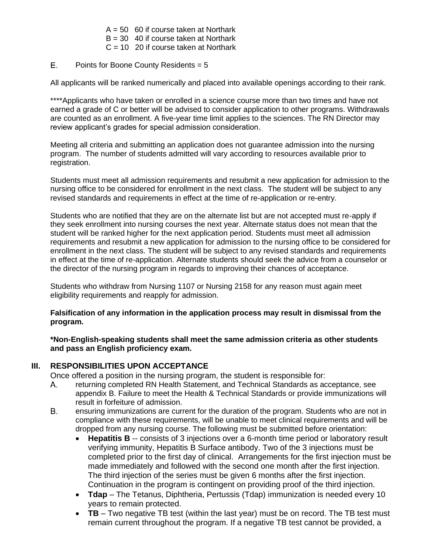- $A = 50$  60 if course taken at Northark
- $B = 30$  40 if course taken at Northark
- $C = 10$  20 if course taken at Northark
- E. Points for Boone County Residents = 5

All applicants will be ranked numerically and placed into available openings according to their rank.

\*\*\*\*Applicants who have taken or enrolled in a science course more than two times and have not earned a grade of C or better will be advised to consider application to other programs. Withdrawals are counted as an enrollment. A five-year time limit applies to the sciences. The RN Director may review applicant's grades for special admission consideration.

Meeting all criteria and submitting an application does not guarantee admission into the nursing program. The number of students admitted will vary according to resources available prior to registration.

Students must meet all admission requirements and resubmit a new application for admission to the nursing office to be considered for enrollment in the next class. The student will be subject to any revised standards and requirements in effect at the time of re-application or re-entry.

Students who are notified that they are on the alternate list but are not accepted must re-apply if they seek enrollment into nursing courses the next year. Alternate status does not mean that the student will be ranked higher for the next application period. Students must meet all admission requirements and resubmit a new application for admission to the nursing office to be considered for enrollment in the next class. The student will be subject to any revised standards and requirements in effect at the time of re-application. Alternate students should seek the advice from a counselor or the director of the nursing program in regards to improving their chances of acceptance.

Students who withdraw from Nursing 1107 or Nursing 2158 for any reason must again meet eligibility requirements and reapply for admission.

#### **Falsification of any information in the application process may result in dismissal from the program.**

**\*Non-English-speaking students shall meet the same admission criteria as other students and pass an English proficiency exam.**

### **III. RESPONSIBILITIES UPON ACCEPTANCE**

Once offered a position in the nursing program, the student is responsible for:

- returning completed RN Health Statement, and Technical Standards as acceptance, see Α. appendix B. Failure to meet the Health & Technical Standards or provide immunizations will result in forfeiture of admission.
- **B.** ensuring immunizations are current for the duration of the program. Students who are not in compliance with these requirements, will be unable to meet clinical requirements and will be dropped from any nursing course. The following must be submitted before orientation:
	- **Hepatitis B** -- consists of 3 injections over a 6-month time period or laboratory result verifying immunity, Hepatitis B Surface antibody. Two of the 3 injections must be completed prior to the first day of clinical. Arrangements for the first injection must be made immediately and followed with the second one month after the first injection. The third injection of the series must be given 6 months after the first injection. Continuation in the program is contingent on providing proof of the third injection.
	- **Tdap** The Tetanus, Diphtheria, Pertussis (Tdap) immunization is needed every 10 years to remain protected.
	- **TB** Two negative TB test (within the last year) must be on record. The TB test must remain current throughout the program. If a negative TB test cannot be provided, a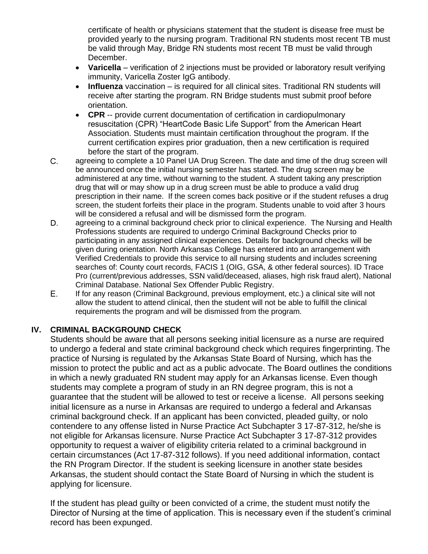certificate of health or physicians statement that the student is disease free must be provided yearly to the nursing program. Traditional RN students most recent TB must be valid through May, Bridge RN students most recent TB must be valid through December.

- **Varicella** verification of 2 injections must be provided or laboratory result verifying immunity, Varicella Zoster IgG antibody.
- **Influenza** vaccination is required for all clinical sites. Traditional RN students will receive after starting the program. RN Bridge students must submit proof before orientation.
- **CPR** -- provide current documentation of certification in cardiopulmonary resuscitation (CPR) "HeartCode Basic Life Support" from the American Heart Association. Students must maintain certification throughout the program. If the current certification expires prior graduation, then a new certification is required before the start of the program.
- $C_{-}$ agreeing to complete a 10 Panel UA Drug Screen. The date and time of the drug screen will be announced once the initial nursing semester has started. The drug screen may be administered at any time, without warning to the student. A student taking any prescription drug that will or may show up in a drug screen must be able to produce a valid drug prescription in their name. If the screen comes back positive or if the student refuses a drug screen, the student forfeits their place in the program. Students unable to void after 3 hours will be considered a refusal and will be dismissed form the program.
- D. agreeing to a criminal background check prior to clinical experience. The Nursing and Health Professions students are required to undergo Criminal Background Checks prior to participating in any assigned clinical experiences. Details for background checks will be given during orientation. North Arkansas College has entered into an arrangement with Verified Credentials to provide this service to all nursing students and includes screening searches of: County court records, FACIS 1 (OIG, GSA, & other federal sources). ID Trace Pro (current/previous addresses, SSN valid/deceased, aliases, high risk fraud alert), National Criminal Database. National Sex Offender Public Registry.
- E. If for any reason (Criminal Background, previous employment, etc.) a clinical site will not allow the student to attend clinical, then the student will not be able to fulfill the clinical requirements the program and will be dismissed from the program.

## **IV. CRIMINAL BACKGROUND CHECK**

Students should be aware that all persons seeking initial licensure as a nurse are required to undergo a federal and state criminal background check which requires fingerprinting. The practice of Nursing is regulated by the Arkansas State Board of Nursing, which has the mission to protect the public and act as a public advocate. The Board outlines the conditions in which a newly graduated RN student may apply for an Arkansas license. Even though students may complete a program of study in an RN degree program, this is not a guarantee that the student will be allowed to test or receive a license. All persons seeking initial licensure as a nurse in Arkansas are required to undergo a federal and Arkansas criminal background check. If an applicant has been convicted, pleaded guilty, or nolo contendere to any offense listed in Nurse Practice Act Subchapter 3 17-87-312, he/she is not eligible for Arkansas licensure. Nurse Practice Act Subchapter 3 17-87-312 provides opportunity to request a waiver of eligibility criteria related to a criminal background in certain circumstances (Act 17-87-312 follows). If you need additional information, contact the RN Program Director. If the student is seeking licensure in another state besides Arkansas, the student should contact the State Board of Nursing in which the student is applying for licensure.

If the student has plead guilty or been convicted of a crime, the student must notify the Director of Nursing at the time of application. This is necessary even if the student's criminal record has been expunged.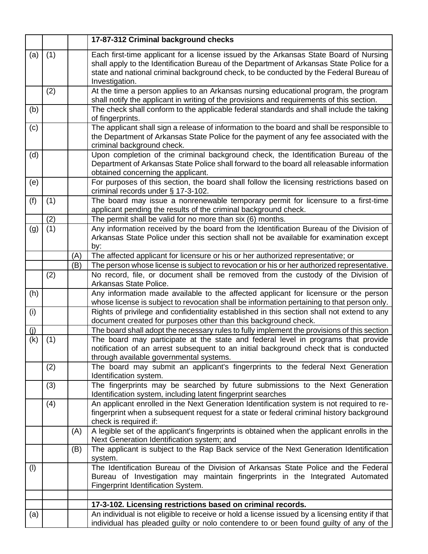|     |     |     | 17-87-312 Criminal background checks                                                                                                                                                                                                                                                           |
|-----|-----|-----|------------------------------------------------------------------------------------------------------------------------------------------------------------------------------------------------------------------------------------------------------------------------------------------------|
| (a) | (1) |     | Each first-time applicant for a license issued by the Arkansas State Board of Nursing<br>shall apply to the Identification Bureau of the Department of Arkansas State Police for a<br>state and national criminal background check, to be conducted by the Federal Bureau of<br>Investigation. |
|     | (2) |     | At the time a person applies to an Arkansas nursing educational program, the program<br>shall notify the applicant in writing of the provisions and requirements of this section.                                                                                                              |
| (b) |     |     | The check shall conform to the applicable federal standards and shall include the taking<br>of fingerprints.                                                                                                                                                                                   |
| (c) |     |     | The applicant shall sign a release of information to the board and shall be responsible to<br>the Department of Arkansas State Police for the payment of any fee associated with the<br>criminal background check.                                                                             |
| (d) |     |     | Upon completion of the criminal background check, the Identification Bureau of the<br>Department of Arkansas State Police shall forward to the board all releasable information<br>obtained concerning the applicant.                                                                          |
| (e) |     |     | For purposes of this section, the board shall follow the licensing restrictions based on<br>criminal records under § 17-3-102.                                                                                                                                                                 |
| (f) | (1) |     | The board may issue a nonrenewable temporary permit for licensure to a first-time<br>applicant pending the results of the criminal background check.                                                                                                                                           |
|     | (2) |     | The permit shall be valid for no more than six (6) months.                                                                                                                                                                                                                                     |
| (g) | (1) |     | Any information received by the board from the Identification Bureau of the Division of<br>Arkansas State Police under this section shall not be available for examination except<br>by:                                                                                                       |
|     |     | (A) | The affected applicant for licensure or his or her authorized representative; or                                                                                                                                                                                                               |
|     |     | (B) | The person whose license is subject to revocation or his or her authorized representative.                                                                                                                                                                                                     |
|     | (2) |     | No record, file, or document shall be removed from the custody of the Division of<br>Arkansas State Police.                                                                                                                                                                                    |
| (h) |     |     | Any information made available to the affected applicant for licensure or the person<br>whose license is subject to revocation shall be information pertaining to that person only.                                                                                                            |
| (i) |     |     | Rights of privilege and confidentiality established in this section shall not extend to any<br>document created for purposes other than this background check.                                                                                                                                 |
| (j) |     |     | The board shall adopt the necessary rules to fully implement the provisions of this section                                                                                                                                                                                                    |
| (k) | (1) |     | The board may participate at the state and federal level in programs that provide<br>notification of an arrest subsequent to an initial background check that is conducted<br>through available governmental systems.                                                                          |
|     | (2) |     | The board may submit an applicant's fingerprints to the federal Next Generation<br>Identification system.                                                                                                                                                                                      |
|     | (3) |     | The fingerprints may be searched by future submissions to the Next Generation<br>Identification system, including latent fingerprint searches                                                                                                                                                  |
|     | (4) |     | An applicant enrolled in the Next Generation Identification system is not required to re-<br>fingerprint when a subsequent request for a state or federal criminal history background<br>check is required if:                                                                                 |
|     |     | (A) | A legible set of the applicant's fingerprints is obtained when the applicant enrolls in the<br>Next Generation Identification system; and                                                                                                                                                      |
|     |     | (B) | The applicant is subject to the Rap Back service of the Next Generation Identification<br>system.                                                                                                                                                                                              |
| (1) |     |     | The Identification Bureau of the Division of Arkansas State Police and the Federal<br>Bureau of Investigation may maintain fingerprints in the Integrated Automated<br>Fingerprint Identification System.                                                                                      |
|     |     |     |                                                                                                                                                                                                                                                                                                |
|     |     |     | 17-3-102. Licensing restrictions based on criminal records.                                                                                                                                                                                                                                    |
| (a) |     |     | An individual is not eligible to receive or hold a license issued by a licensing entity if that<br>individual has pleaded guilty or nolo contendere to or been found guilty of any of the                                                                                                      |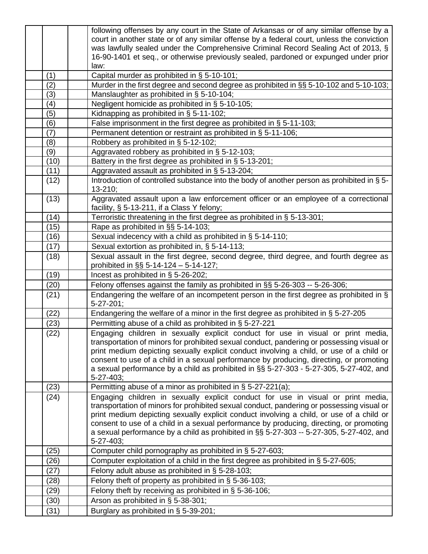|      | following offenses by any court in the State of Arkansas or of any similar offense by a                                                                                           |
|------|-----------------------------------------------------------------------------------------------------------------------------------------------------------------------------------|
|      | court in another state or of any similar offense by a federal court, unless the conviction                                                                                        |
|      | was lawfully sealed under the Comprehensive Criminal Record Sealing Act of 2013, §                                                                                                |
|      | 16-90-1401 et seq., or otherwise previously sealed, pardoned or expunged under prior<br>law:                                                                                      |
| (1)  | Capital murder as prohibited in § 5-10-101;                                                                                                                                       |
| (2)  | Murder in the first degree and second degree as prohibited in §§ 5-10-102 and 5-10-103;                                                                                           |
| (3)  | Manslaughter as prohibited in § 5-10-104;                                                                                                                                         |
| (4)  | Negligent homicide as prohibited in § 5-10-105;                                                                                                                                   |
| (5)  | Kidnapping as prohibited in § 5-11-102;                                                                                                                                           |
| (6)  | False imprisonment in the first degree as prohibited in § 5-11-103;                                                                                                               |
| (7)  | Permanent detention or restraint as prohibited in § 5-11-106;                                                                                                                     |
| (8)  | Robbery as prohibited in § 5-12-102;                                                                                                                                              |
| (9)  | Aggravated robbery as prohibited in § 5-12-103;                                                                                                                                   |
| (10) | Battery in the first degree as prohibited in $\S$ 5-13-201;                                                                                                                       |
| (11) | Aggravated assault as prohibited in § 5-13-204;                                                                                                                                   |
| (12) | Introduction of controlled substance into the body of another person as prohibited in § 5-                                                                                        |
|      | 13-210;                                                                                                                                                                           |
| (13) | Aggravated assault upon a law enforcement officer or an employee of a correctional                                                                                                |
|      | facility, § 5-13-211, if a Class Y felony;                                                                                                                                        |
| (14) | Terroristic threatening in the first degree as prohibited in § 5-13-301;                                                                                                          |
| (15) | Rape as prohibited in §§ 5-14-103;                                                                                                                                                |
| (16) | Sexual indecency with a child as prohibited in § 5-14-110;                                                                                                                        |
| (17) | Sexual extortion as prohibited in, § 5-14-113;                                                                                                                                    |
| (18) | Sexual assault in the first degree, second degree, third degree, and fourth degree as                                                                                             |
|      | prohibited in §§ 5-14-124 - 5-14-127;                                                                                                                                             |
| (19) | Incest as prohibited in § 5-26-202;                                                                                                                                               |
| (20) | Felony offenses against the family as prohibited in §§ 5-26-303 -- 5-26-306;                                                                                                      |
| (21) | Endangering the welfare of an incompetent person in the first degree as prohibited in §                                                                                           |
|      | $5 - 27 - 201$ ;                                                                                                                                                                  |
| (22) | Endangering the welfare of a minor in the first degree as prohibited in § 5-27-205                                                                                                |
| (23) | Permitting abuse of a child as prohibited in § 5-27-221                                                                                                                           |
| (22) | Engaging children in sexually explicit conduct for use in visual or print media,                                                                                                  |
|      | transportation of minors for prohibited sexual conduct, pandering or possessing visual or                                                                                         |
|      | print medium depicting sexually explicit conduct involving a child, or use of a child or                                                                                          |
|      | consent to use of a child in a sexual performance by producing, directing, or promoting<br>a sexual performance by a child as prohibited in §§ 5-27-303 - 5-27-305, 5-27-402, and |
|      | 5-27-403;                                                                                                                                                                         |
| (23) | Permitting abuse of a minor as prohibited in § 5-27-221(a);                                                                                                                       |
| (24) | Engaging children in sexually explicit conduct for use in visual or print media,                                                                                                  |
|      | transportation of minors for prohibited sexual conduct, pandering or possessing visual or                                                                                         |
|      | print medium depicting sexually explicit conduct involving a child, or use of a child or                                                                                          |
|      | consent to use of a child in a sexual performance by producing, directing, or promoting                                                                                           |
|      | a sexual performance by a child as prohibited in §§ 5-27-303 -- 5-27-305, 5-27-402, and                                                                                           |
|      | 5-27-403;                                                                                                                                                                         |
| (25) | Computer child pornography as prohibited in § 5-27-603;                                                                                                                           |
| (26) | Computer exploitation of a child in the first degree as prohibited in § 5-27-605;                                                                                                 |
| (27) | Felony adult abuse as prohibited in § 5-28-103;                                                                                                                                   |
| (28) | Felony theft of property as prohibited in § 5-36-103;                                                                                                                             |
| (29) | Felony theft by receiving as prohibited in $\S$ 5-36-106;                                                                                                                         |
| (30) | Arson as prohibited in § 5-38-301;                                                                                                                                                |
| (31) | Burglary as prohibited in § 5-39-201;                                                                                                                                             |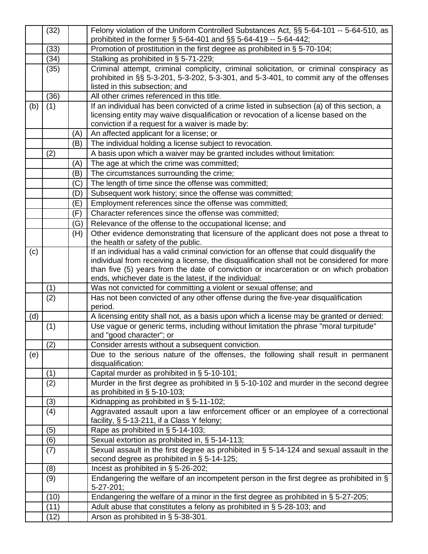|     | (32) |     | Felony violation of the Uniform Controlled Substances Act, §§ 5-64-101 -- 5-64-510, as                                           |
|-----|------|-----|----------------------------------------------------------------------------------------------------------------------------------|
|     |      |     | prohibited in the former § 5-64-401 and §§ 5-64-419 -- 5-64-442;                                                                 |
|     | (33) |     | Promotion of prostitution in the first degree as prohibited in § 5-70-104;                                                       |
|     | (34) |     | Stalking as prohibited in § 5-71-229;                                                                                            |
|     | (35) |     | Criminal attempt, criminal complicity, criminal solicitation, or criminal conspiracy as                                          |
|     |      |     | prohibited in §§ 5-3-201, 5-3-202, 5-3-301, and 5-3-401, to commit any of the offenses                                           |
|     |      |     | listed in this subsection; and                                                                                                   |
|     | (36) |     | All other crimes referenced in this title.                                                                                       |
| (b) | (1)  |     | If an individual has been convicted of a crime listed in subsection (a) of this section, a                                       |
|     |      |     | licensing entity may waive disqualification or revocation of a license based on the                                              |
|     |      |     | conviction if a request for a waiver is made by:                                                                                 |
|     |      | (A) | An affected applicant for a license; or                                                                                          |
|     |      | (B) | The individual holding a license subject to revocation.                                                                          |
|     | (2)  |     | A basis upon which a waiver may be granted includes without limitation:                                                          |
|     |      | (A) | The age at which the crime was committed;                                                                                        |
|     |      | (B) | The circumstances surrounding the crime;                                                                                         |
|     |      | (C) | The length of time since the offense was committed;                                                                              |
|     |      | (D) | Subsequent work history; since the offense was committed;                                                                        |
|     |      | (E) | Employment references since the offense was committed;                                                                           |
|     |      | (F) | Character references since the offense was committed;                                                                            |
|     |      | (G) | Relevance of the offense to the occupational license; and                                                                        |
|     |      | (H) | Other evidence demonstrating that licensure of the applicant does not pose a threat to                                           |
|     |      |     | the health or safety of the public.                                                                                              |
| (c) |      |     | If an individual has a valid criminal conviction for an offense that could disqualify the                                        |
|     |      |     | individual from receiving a license, the disqualification shall not be considered for more                                       |
|     |      |     | than five (5) years from the date of conviction or incarceration or on which probation                                           |
|     |      |     | ends, whichever date is the latest, if the individual:                                                                           |
|     | (1)  |     | Was not convicted for committing a violent or sexual offense; and                                                                |
|     | (2)  |     | Has not been convicted of any other offense during the five-year disqualification<br>period.                                     |
| (d) |      |     | A licensing entity shall not, as a basis upon which a license may be granted or denied:                                          |
|     | (1)  |     | Use vague or generic terms, including without limitation the phrase "moral turpitude"                                            |
|     |      |     | and "good character"; or                                                                                                         |
|     | (2)  |     | Consider arrests without a subsequent conviction.                                                                                |
| (e) |      |     | Due to the serious nature of the offenses, the following shall result in permanent                                               |
|     |      |     | disqualification:                                                                                                                |
|     | (1)  |     | Capital murder as prohibited in § 5-10-101;                                                                                      |
|     | (2)  |     | Murder in the first degree as prohibited in § 5-10-102 and murder in the second degree                                           |
|     |      |     | as prohibited in $\S$ 5-10-103;                                                                                                  |
|     | (3)  |     | Kidnapping as prohibited in § 5-11-102;                                                                                          |
|     | (4)  |     | Aggravated assault upon a law enforcement officer or an employee of a correctional<br>facility, § 5-13-211, if a Class Y felony; |
|     | (5)  |     | Rape as prohibited in § 5-14-103;                                                                                                |
|     | (6)  |     | Sexual extortion as prohibited in, § 5-14-113;                                                                                   |
|     | (7)  |     | Sexual assault in the first degree as prohibited in § 5-14-124 and sexual assault in the                                         |
|     |      |     | second degree as prohibited in § 5-14-125;                                                                                       |
|     | (8)  |     | Incest as prohibited in § 5-26-202;                                                                                              |
|     | (9)  |     | Endangering the welfare of an incompetent person in the first degree as prohibited in §                                          |
|     |      |     | $5-27-201$ ;                                                                                                                     |
|     | (10) |     | Endangering the welfare of a minor in the first degree as prohibited in § 5-27-205;                                              |
|     | (11) |     | Adult abuse that constitutes a felony as prohibited in § 5-28-103; and                                                           |
|     | (12) |     | Arson as prohibited in § 5-38-301.                                                                                               |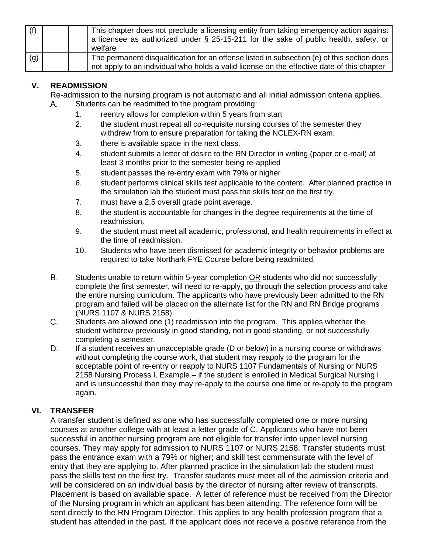| (f) | This chapter does not preclude a licensing entity from taking emergency action against<br>a licensee as authorized under § 25-15-211 for the sake of public health, safety, or<br>welfare |
|-----|-------------------------------------------------------------------------------------------------------------------------------------------------------------------------------------------|
| (g) | The permanent disqualification for an offense listed in subsection (e) of this section does<br>not apply to an individual who holds a valid license on the effective date of this chapter |

#### **V. READMISSION**

Re-admission to the nursing program is not automatic and all initial admission criteria applies. Students can be readmitted to the program providing:  $A_{-}$ 

- 1. reentry allows for completion within 5 years from start
- 2. the student must repeat all co-requisite nursing courses of the semester they withdrew from to ensure preparation for taking the NCLEX-RN exam.
- 3. there is available space in the next class.
- 4. student submits a letter of desire to the RN Director in writing (paper or e-mail) at least 3 months prior to the semester being re-applied
- 5. student passes the re-entry exam with 79% or higher
- 6. student performs clinical skills test applicable to the content. After planned practice in the simulation lab the student must pass the skills test on the first try.
- 7. must have a 2.5 overall grade point average.
- 8. the student is accountable for changes in the degree requirements at the time of readmission.
- 9. the student must meet all academic, professional, and health requirements in effect at the time of readmission.
- 10. Students who have been dismissed for academic integrity or behavior problems are required to take Northark FYE Course before being readmitted.
- **B.** Students unable to return within 5-year completion OR students who did not successfully complete the first semester, will need to re-apply, go through the selection process and take the entire nursing curriculum. The applicants who have previously been admitted to the RN program and failed will be placed on the alternate list for the RN and RN Bridge programs (NURS 1107 & NURS 2158).
- $C_{-}$ Students are allowed one (1) readmission into the program. This applies whether the student withdrew previously in good standing, not in good standing, or not successfully completing a semester.
- D. If a student receives an unacceptable grade (D or below) in a nursing course or withdraws without completing the course work, that student may reapply to the program for the acceptable point of re-entry or reapply to NURS 1107 Fundamentals of Nursing or NURS 2158 Nursing Process I. Example – if the student is enrolled in Medical Surgical Nursing I and is unsuccessful then they may re-apply to the course one time or re-apply to the program again.

### **VI. TRANSFER**

A transfer student is defined as one who has successfully completed one or more nursing courses at another college with at least a letter grade of C. Applicants who have not been successful in another nursing program are not eligible for transfer into upper level nursing courses. They may apply for admission to NURS 1107 or NURS 2158. Transfer students must pass the entrance exam with a 79% or higher; and skill test commensurate with the level of entry that they are applying to. After planned practice in the simulation lab the student must pass the skills test on the first try. Transfer students must meet all of the admission criteria and will be considered on an individual basis by the director of nursing after review of transcripts. Placement is based on available space. A letter of reference must be received from the Director of the Nursing program in which an applicant has been attending. The reference form will be sent directly to the RN Program Director. This applies to any health profession program that a student has attended in the past. If the applicant does not receive a positive reference from the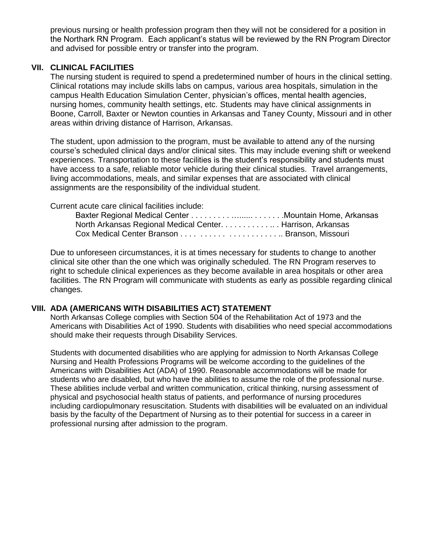previous nursing or health profession program then they will not be considered for a position in the Northark RN Program. Each applicant's status will be reviewed by the RN Program Director and advised for possible entry or transfer into the program.

#### **VII. CLINICAL FACILITIES**

The nursing student is required to spend a predetermined number of hours in the clinical setting. Clinical rotations may include skills labs on campus, various area hospitals, simulation in the campus Health Education Simulation Center, physician's offices, mental health agencies, nursing homes, community health settings, etc. Students may have clinical assignments in Boone, Carroll, Baxter or Newton counties in Arkansas and Taney County, Missouri and in other areas within driving distance of Harrison, Arkansas.

The student, upon admission to the program, must be available to attend any of the nursing course's scheduled clinical days and/or clinical sites. This may include evening shift or weekend experiences. Transportation to these facilities is the student's responsibility and students must have access to a safe, reliable motor vehicle during their clinical studies. Travel arrangements, living accommodations, meals, and similar expenses that are associated with clinical assignments are the responsibility of the individual student.

Current acute care clinical facilities include:

| North Arkansas Regional Medical Center. Harrison, Arkansas |  |
|------------------------------------------------------------|--|
|                                                            |  |

Due to unforeseen circumstances, it is at times necessary for students to change to another clinical site other than the one which was originally scheduled. The RN Program reserves to right to schedule clinical experiences as they become available in area hospitals or other area facilities. The RN Program will communicate with students as early as possible regarding clinical changes.

#### **VIII. ADA (AMERICANS WITH DISABILITIES ACT) STATEMENT**

North Arkansas College complies with Section 504 of the Rehabilitation Act of 1973 and the Americans with Disabilities Act of 1990. Students with disabilities who need special accommodations should make their requests through Disability Services.

Students with documented disabilities who are applying for admission to North Arkansas College Nursing and Health Professions Programs will be welcome according to the guidelines of the Americans with Disabilities Act (ADA) of 1990. Reasonable accommodations will be made for students who are disabled, but who have the abilities to assume the role of the professional nurse. These abilities include verbal and written communication, critical thinking, nursing assessment of physical and psychosocial health status of patients, and performance of nursing procedures including cardiopulmonary resuscitation. Students with disabilities will be evaluated on an individual basis by the faculty of the Department of Nursing as to their potential for success in a career in professional nursing after admission to the program.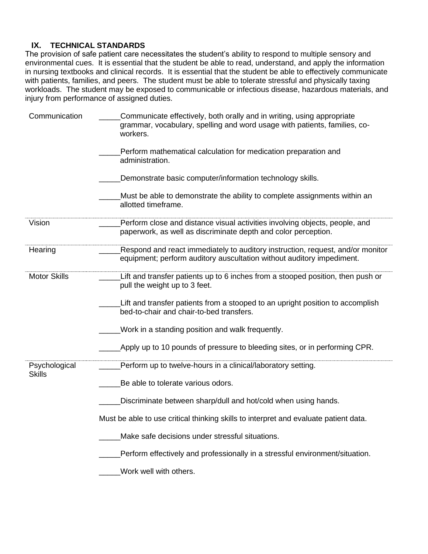#### **IX. TECHNICAL STANDARDS**

The provision of safe patient care necessitates the student's ability to respond to multiple sensory and environmental cues. It is essential that the student be able to read, understand, and apply the information in nursing textbooks and clinical records. It is essential that the student be able to effectively communicate with patients, families, and peers. The student must be able to tolerate stressful and physically taxing workloads. The student may be exposed to communicable or infectious disease, hazardous materials, and injury from performance of assigned duties.

| Communication                  | Communicate effectively, both orally and in writing, using appropriate<br>grammar, vocabulary, spelling and word usage with patients, families, co-<br>workers. |
|--------------------------------|-----------------------------------------------------------------------------------------------------------------------------------------------------------------|
|                                | Perform mathematical calculation for medication preparation and<br>administration.                                                                              |
|                                | Demonstrate basic computer/information technology skills.                                                                                                       |
|                                | Must be able to demonstrate the ability to complete assignments within an<br>allotted timeframe.                                                                |
| Vision                         | Perform close and distance visual activities involving objects, people, and<br>paperwork, as well as discriminate depth and color perception.                   |
| Hearing                        | Respond and react immediately to auditory instruction, request, and/or monitor<br>equipment; perform auditory auscultation without auditory impediment.         |
| <b>Motor Skills</b>            | Lift and transfer patients up to 6 inches from a stooped position, then push or<br>pull the weight up to 3 feet.                                                |
|                                | Lift and transfer patients from a stooped to an upright position to accomplish<br>bed-to-chair and chair-to-bed transfers.                                      |
|                                | Work in a standing position and walk frequently.                                                                                                                |
|                                | Apply up to 10 pounds of pressure to bleeding sites, or in performing CPR.                                                                                      |
| Psychological<br><b>Skills</b> | Perform up to twelve-hours in a clinical/laboratory setting.                                                                                                    |
|                                | Be able to tolerate various odors.                                                                                                                              |
|                                | Discriminate between sharp/dull and hot/cold when using hands.                                                                                                  |
|                                | Must be able to use critical thinking skills to interpret and evaluate patient data.                                                                            |
|                                | Make safe decisions under stressful situations.                                                                                                                 |
|                                | Perform effectively and professionally in a stressful environment/situation.                                                                                    |
|                                | Work well with others.                                                                                                                                          |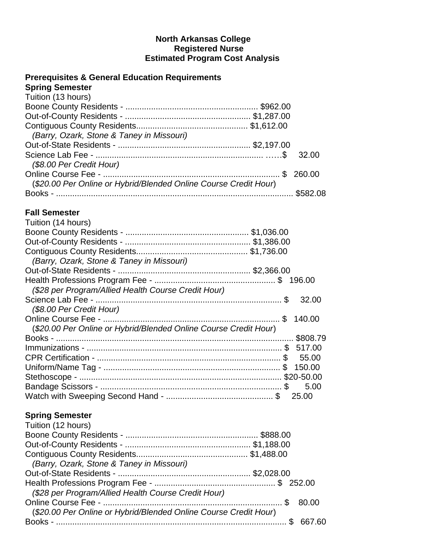## **North Arkansas College Registered Nurse Estimated Program Cost Analysis**

## **Prerequisites & General Education Requirements**

| <b>Spring Semester</b>                                           |       |
|------------------------------------------------------------------|-------|
| Tuition (13 hours)                                               |       |
|                                                                  |       |
|                                                                  |       |
|                                                                  |       |
| (Barry, Ozark, Stone & Taney in Missouri)                        |       |
|                                                                  |       |
|                                                                  | 32.00 |
| (\$8.00 Per Credit Hour)                                         |       |
|                                                                  |       |
| (\$20.00 Per Online or Hybrid/Blended Online Course Credit Hour) |       |
|                                                                  |       |

## **Fall Semester**

| Tuition (14 hours)                                               |       |
|------------------------------------------------------------------|-------|
|                                                                  |       |
|                                                                  |       |
|                                                                  |       |
| (Barry, Ozark, Stone & Taney in Missouri)                        |       |
|                                                                  |       |
|                                                                  |       |
| (\$28 per Program/Allied Health Course Credit Hour)              |       |
|                                                                  | 32.00 |
| (\$8.00 Per Credit Hour)                                         |       |
|                                                                  |       |
| (\$20.00 Per Online or Hybrid/Blended Online Course Credit Hour) |       |
|                                                                  |       |
|                                                                  |       |
|                                                                  | 55.00 |
|                                                                  |       |
|                                                                  |       |
|                                                                  | 5.00  |
|                                                                  |       |

## **Spring Semester**

| Tuition (12 hours)                                               |        |
|------------------------------------------------------------------|--------|
|                                                                  |        |
|                                                                  |        |
|                                                                  |        |
| (Barry, Ozark, Stone & Taney in Missouri)                        |        |
|                                                                  |        |
|                                                                  |        |
| (\$28 per Program/Allied Health Course Credit Hour)              |        |
|                                                                  | 80.00  |
| (\$20.00 Per Online or Hybrid/Blended Online Course Credit Hour) |        |
|                                                                  | 667.60 |
|                                                                  |        |